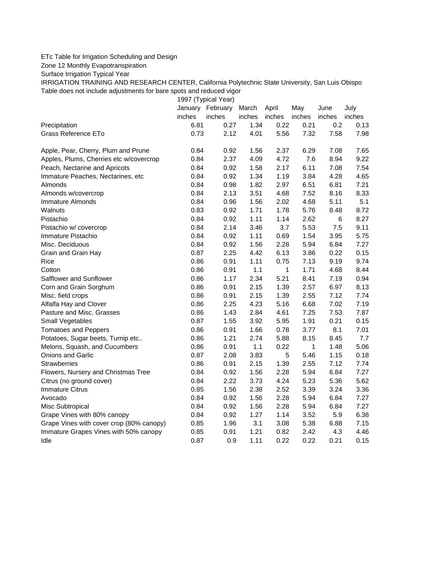## ETc Table for Irrigation Scheduling and Design

Zone 12 Monthly Evapotranspiration

Surface Irrigation Typical Year

IRRIGATION TRAINING AND RESEARCH CENTER, California Polytechnic State University, San Luis Obispo Table does not include adjustments for bare spots and reduced vigor

1997 (Typical Year)

|                                          |        | January February | March  | April  | May    | June   | July   |
|------------------------------------------|--------|------------------|--------|--------|--------|--------|--------|
|                                          | inches | inches           | inches | inches | inches | inches | inches |
| Precipitation                            | 6.81   | 0.27             | 1.34   | 0.22   | 0.21   | 0.2    | 0.13   |
| Grass Reference ETo                      | 0.73   | 2.12             | 4.01   | 5.56   | 7.32   | 7.58   | 7.98   |
| Apple, Pear, Cherry, Plum and Prune      | 0.84   | 0.92             | 1.56   | 2.37   | 6.29   | 7.08   | 7.65   |
| Apples, Plums, Cherries etc w/covercrop  | 0.84   | 2.37             | 4.09   | 4.72   | 7.6    | 8.94   | 9.22   |
| Peach, Nectarine and Apricots            | 0.84   | 0.92             | 1.58   | 2.17   | 6.11   | 7.08   | 7.54   |
| Immature Peaches, Nectarines, etc        | 0.84   | 0.92             | 1.34   | 1.19   | 3.84   | 4.28   | 4.65   |
| Almonds                                  | 0.84   | 0.98             | 1.82   | 2.97   | 6.51   | 6.81   | 7.21   |
| Almonds w/covercrop                      | 0.84   | 2.13             | 3.51   | 4.68   | 7.52   | 8.16   | 8.33   |
| <b>Immature Almonds</b>                  | 0.84   | 0.96             | 1.56   | 2.02   | 4.68   | 5.11   | 5.1    |
| Walnuts                                  | 0.83   | 0.92             | 1.71   | 1.78   | 5.76   | 8.48   | 8.72   |
| Pistachio                                | 0.84   | 0.92             | 1.11   | 1.14   | 2.62   | 6      | 8.27   |
| Pistachio w/ covercrop                   | 0.84   | 2.14             | 3.46   | 3.7    | 5.53   | 7.5    | 9.11   |
| Immature Pistachio                       | 0.84   | 0.92             | 1.11   | 0.69   | 1.54   | 3.95   | 5.75   |
| Misc. Deciduous                          | 0.84   | 0.92             | 1.56   | 2.28   | 5.94   | 6.84   | 7.27   |
| Grain and Grain Hay                      | 0.87   | 2.25             | 4.42   | 6.13   | 3.86   | 0.22   | 0.15   |
| Rice                                     | 0.86   | 0.91             | 1.11   | 0.75   | 7.13   | 9.19   | 9.74   |
| Cotton                                   | 0.86   | 0.91             | 1.1    | 1      | 1.71   | 4.68   | 8.44   |
| Safflower and Sunflower                  | 0.86   | 1.17             | 2.34   | 5.21   | 8.41   | 7.19   | 0.94   |
| Corn and Grain Sorghum                   | 0.86   | 0.91             | 2.15   | 1.39   | 2.57   | 6.97   | 8.13   |
| Misc. field crops                        | 0.86   | 0.91             | 2.15   | 1.39   | 2.55   | 7.12   | 7.74   |
| Alfalfa Hay and Clover                   | 0.86   | 2.25             | 4.23   | 5.16   | 6.68   | 7.02   | 7.19   |
| Pasture and Misc. Grasses                | 0.86   | 1.43             | 2.84   | 4.61   | 7.25   | 7.53   | 7.87   |
| Small Vegetables                         | 0.87   | 1.55             | 3.92   | 5.95   | 1.91   | 0.21   | 0.15   |
| <b>Tomatoes and Peppers</b>              | 0.86   | 0.91             | 1.66   | 0.78   | 3.77   | 8.1    | 7.01   |
| Potatoes, Sugar beets, Turnip etc        | 0.86   | 1.21             | 2.74   | 5.88   | 8.15   | 8.45   | 7.7    |
| Melons, Squash, and Cucumbers            | 0.86   | 0.91             | 1.1    | 0.22   | 1      | 1.48   | 5.06   |
| Onions and Garlic                        | 0.87   | 2.08             | 3.83   | 5      | 5.46   | 1.15   | 0.18   |
| <b>Strawberries</b>                      | 0.86   | 0.91             | 2.15   | 1.39   | 2.55   | 7.12   | 7.74   |
| Flowers, Nursery and Christmas Tree      | 0.84   | 0.92             | 1.56   | 2.28   | 5.94   | 6.84   | 7.27   |
| Citrus (no ground cover)                 | 0.84   | 2.22             | 3.73   | 4.24   | 5.23   | 5.36   | 5.62   |
| <b>Immature Citrus</b>                   | 0.85   | 1.56             | 2.38   | 2.52   | 3.39   | 3.24   | 3.36   |
| Avocado                                  | 0.84   | 0.92             | 1.56   | 2.28   | 5.94   | 6.84   | 7.27   |
| Misc Subtropical                         | 0.84   | 0.92             | 1.56   | 2.28   | 5.94   | 6.84   | 7.27   |
| Grape Vines with 80% canopy              | 0.84   | 0.92             | 1.27   | 1.14   | 3.52   | 5.9    | 6.38   |
| Grape Vines with cover crop (80% canopy) | 0.85   | 1.96             | 3.1    | 3.08   | 5.38   | 6.88   | 7.15   |
| Immature Grapes Vines with 50% canopy    | 0.85   | 0.91             | 1.21   | 0.82   | 2.42   | 4.3    | 4.46   |
| Idle                                     | 0.87   | 0.9              | 1.11   | 0.22   | 0.22   | 0.21   | 0.15   |